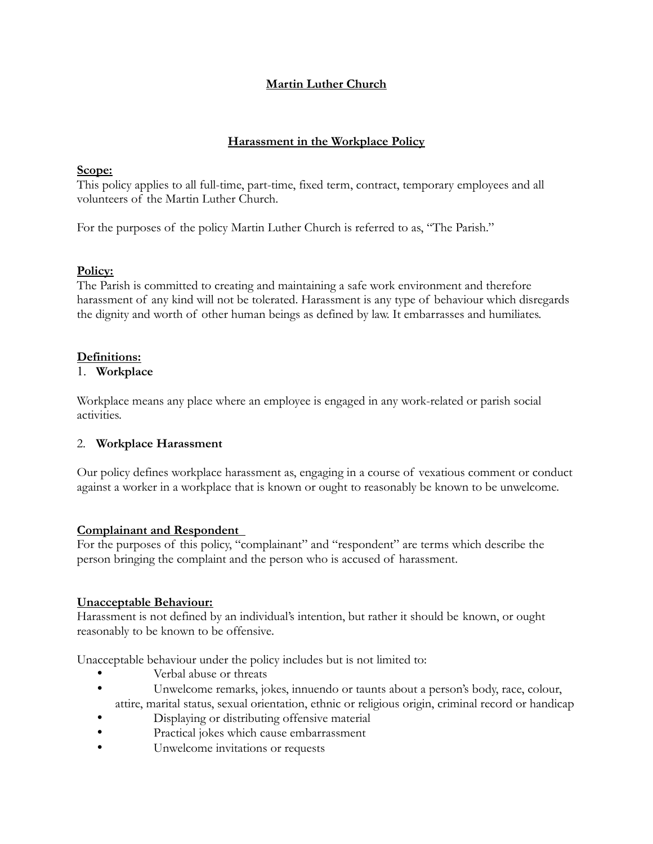# **Martin Luther Church**

### **Harassment in the Workplace Policy**

### **Scope:**

This policy applies to all full-time, part-time, fixed term, contract, temporary employees and all volunteers of the Martin Luther Church.

For the purposes of the policy Martin Luther Church is referred to as, "The Parish."

### **Policy:**

The Parish is committed to creating and maintaining a safe work environment and therefore harassment of any kind will not be tolerated. Harassment is any type of behaviour which disregards the dignity and worth of other human beings as defined by law. It embarrasses and humiliates.

# **Definitions:**

### 1. **Workplace**

Workplace means any place where an employee is engaged in any work-related or parish social activities.

# 2. **Workplace Harassment**

Our policy defines workplace harassment as, engaging in a course of vexatious comment or conduct against a worker in a workplace that is known or ought to reasonably be known to be unwelcome.

#### **Complainant and Respondent**

For the purposes of this policy, "complainant" and "respondent" are terms which describe the person bringing the complaint and the person who is accused of harassment.

# **Unacceptable Behaviour:**

Harassment is not defined by an individual's intention, but rather it should be known, or ought reasonably to be known to be offensive.

Unacceptable behaviour under the policy includes but is not limited to:

- Verbal abuse or threats
- Unwelcome remarks, jokes, innuendo or taunts about a person's body, race, colour, attire, marital status, sexual orientation, ethnic or religious origin, criminal record or handicap
- Displaying or distributing offensive material
- Practical jokes which cause embarrassment
- Unwelcome invitations or requests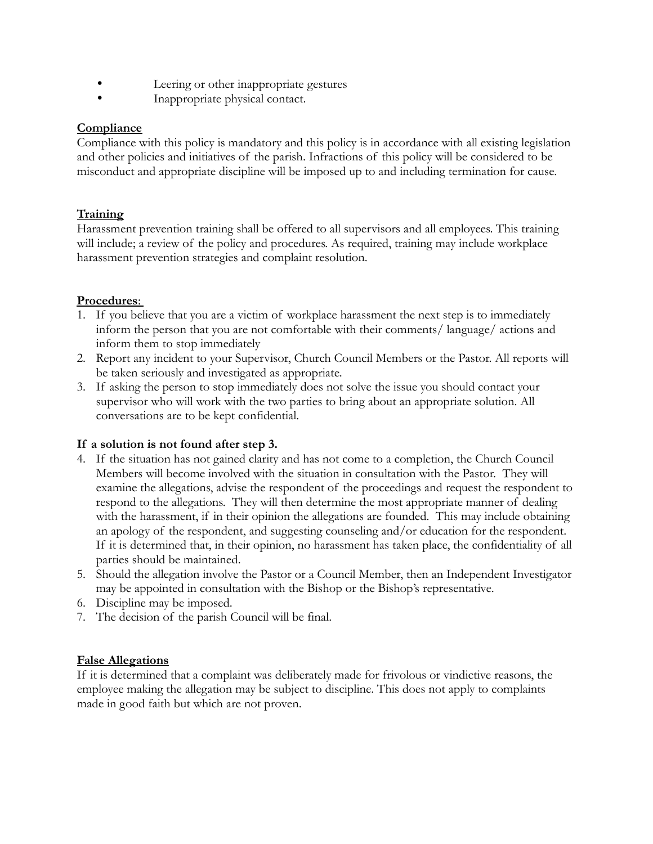- Leering or other inappropriate gestures
- Inappropriate physical contact.

### **Compliance**

Compliance with this policy is mandatory and this policy is in accordance with all existing legislation and other policies and initiatives of the parish. Infractions of this policy will be considered to be misconduct and appropriate discipline will be imposed up to and including termination for cause.

# **Training**

Harassment prevention training shall be offered to all supervisors and all employees. This training will include; a review of the policy and procedures. As required, training may include workplace harassment prevention strategies and complaint resolution.

# Procedures:

- 1. If you believe that you are a victim of workplace harassment the next step is to immediately inform the person that you are not comfortable with their comments/ language/ actions and inform them to stop immediately
- 2. Report any incident to your Supervisor, Church Council Members or the Pastor. All reports will be taken seriously and investigated as appropriate.
- 3. If asking the person to stop immediately does not solve the issue you should contact your supervisor who will work with the two parties to bring about an appropriate solution. All conversations are to be kept confidential.

# **If a solution is not found after step 3.**

- 4. If the situation has not gained clarity and has not come to a completion, the Church Council Members will become involved with the situation in consultation with the Pastor. They will examine the allegations, advise the respondent of the proceedings and request the respondent to respond to the allegations. They will then determine the most appropriate manner of dealing with the harassment, if in their opinion the allegations are founded. This may include obtaining an apology of the respondent, and suggesting counseling and/or education for the respondent. If it is determined that, in their opinion, no harassment has taken place, the confidentiality of all parties should be maintained.
- 5. Should the allegation involve the Pastor or a Council Member, then an Independent Investigator may be appointed in consultation with the Bishop or the Bishop's representative.
- 6. Discipline may be imposed.
- 7. The decision of the parish Council will be final.

#### **False Allegations**

If it is determined that a complaint was deliberately made for frivolous or vindictive reasons, the employee making the allegation may be subject to discipline. This does not apply to complaints made in good faith but which are not proven.